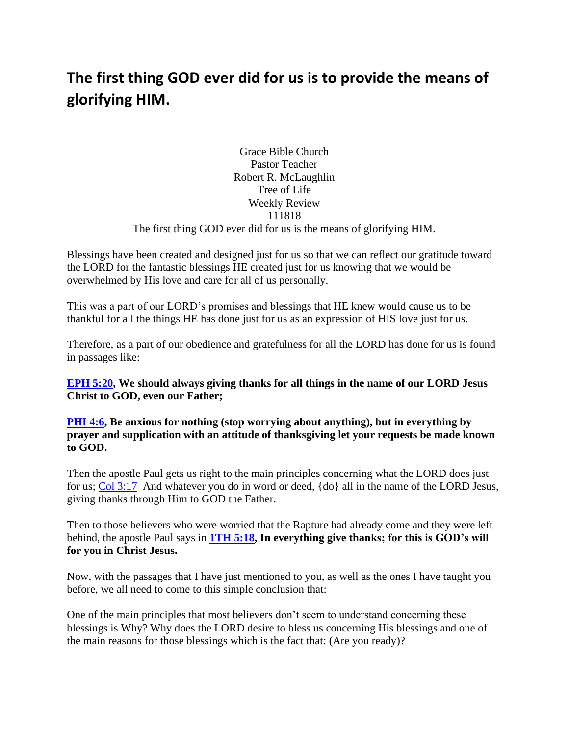## **The first thing GOD ever did for us is to provide the means of glorifying HIM.**

Grace Bible Church Pastor Teacher Robert R. McLaughlin Tree of Life Weekly Review 111818 The first thing GOD ever did for us is the means of glorifying HIM.

Blessings have been created and designed just for us so that we can reflect our gratitude toward the LORD for the fantastic blessings HE created just for us knowing that we would be overwhelmed by His love and care for all of us personally.

This was a part of our LORD's promises and blessings that HE knew would cause us to be thankful for all the things HE has done just for us as an expression of HIS love just for us.

Therefore, as a part of our obedience and gratefulness for all the LORD has done for us is found in passages like:

**[EPH 5:20,](https://www.bibleserver.com/text/NIV/Ephesians5%3A20) We should always giving thanks for all things in the name of our LORD Jesus Christ to GOD, even our Father;**

**[PHI 4:6,](https://www.bibleserver.com/text/NIV/Philippians4%3A6) Be anxious for nothing (stop worrying about anything), but in everything by prayer and supplication with an attitude of thanksgiving let your requests be made known to GOD.**

Then the apostle Paul gets us right to the main principles concerning what the LORD does just for us; [Col 3:17](https://www.bibleserver.com/text/NIV/Colossians3%3A17) And whatever you do in word or deed, {do} all in the name of the LORD Jesus, giving thanks through Him to GOD the Father.

Then to those believers who were worried that the Rapture had already come and they were left behind, the apostle Paul says in **[1TH 5:18,](https://www.bibleserver.com/text/NIV/1Thessalonians5%3A18) In everything give thanks; for this is GOD's will for you in Christ Jesus.**

Now, with the passages that I have just mentioned to you, as well as the ones I have taught you before, we all need to come to this simple conclusion that:

One of the main principles that most believers don't seem to understand concerning these blessings is Why? Why does the LORD desire to bless us concerning His blessings and one of the main reasons for those blessings which is the fact that: (Are you ready)?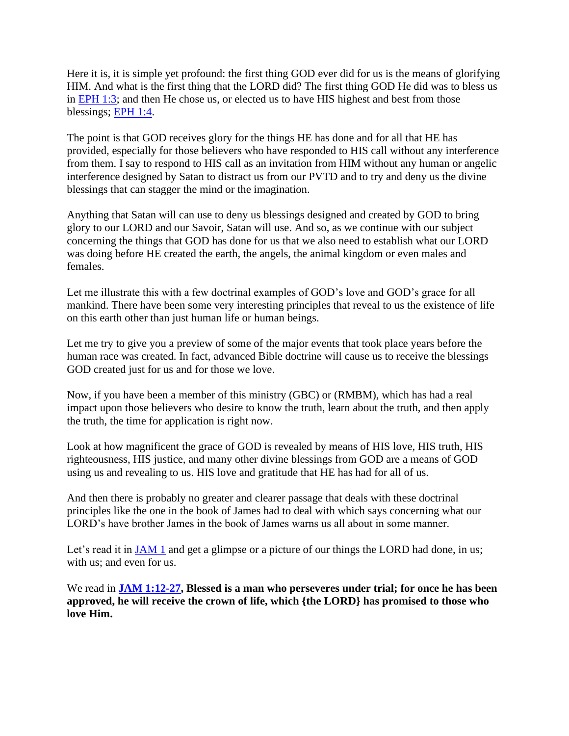Here it is, it is simple yet profound: the first thing GOD ever did for us is the means of glorifying HIM. And what is the first thing that the LORD did? The first thing GOD He did was to bless us in [EPH 1:3;](https://www.bibleserver.com/text/NIV/Ephesians1%3A3) and then He chose us, or elected us to have HIS highest and best from those blessings; [EPH 1:4.](https://www.bibleserver.com/text/NIV/Ephesians1%3A4)

The point is that GOD receives glory for the things HE has done and for all that HE has provided, especially for those believers who have responded to HIS call without any interference from them. I say to respond to HIS call as an invitation from HIM without any human or angelic interference designed by Satan to distract us from our PVTD and to try and deny us the divine blessings that can stagger the mind or the imagination.

Anything that Satan will can use to deny us blessings designed and created by GOD to bring glory to our LORD and our Savoir, Satan will use. And so, as we continue with our subject concerning the things that GOD has done for us that we also need to establish what our LORD was doing before HE created the earth, the angels, the animal kingdom or even males and females.

Let me illustrate this with a few doctrinal examples of GOD's love and GOD's grace for all mankind. There have been some very interesting principles that reveal to us the existence of life on this earth other than just human life or human beings.

Let me try to give you a preview of some of the major events that took place years before the human race was created. In fact, advanced Bible doctrine will cause us to receive the blessings GOD created just for us and for those we love.

Now, if you have been a member of this ministry (GBC) or (RMBM), which has had a real impact upon those believers who desire to know the truth, learn about the truth, and then apply the truth, the time for application is right now.

Look at how magnificent the grace of GOD is revealed by means of HIS love, HIS truth, HIS righteousness, HIS justice, and many other divine blessings from GOD are a means of GOD using us and revealing to us. HIS love and gratitude that HE has had for all of us.

And then there is probably no greater and clearer passage that deals with these doctrinal principles like the one in the book of James had to deal with which says concerning what our LORD's have brother James in the book of James warns us all about in some manner.

Let's read it in **JAM 1** and get a glimpse or a picture of our things the LORD had done, in us; with us; and even for us.

We read in **[JAM 1:12-27,](https://www.bibleserver.com/text/NIV/James1%3A12-27) Blessed is a man who perseveres under trial; for once he has been approved, he will receive the crown of life, which {the LORD} has promised to those who love Him.**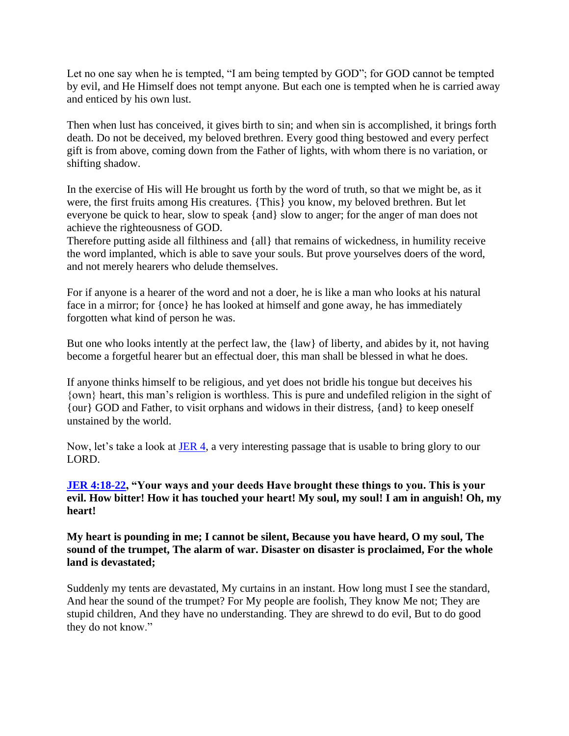Let no one say when he is tempted, "I am being tempted by GOD"; for GOD cannot be tempted by evil, and He Himself does not tempt anyone. But each one is tempted when he is carried away and enticed by his own lust.

Then when lust has conceived, it gives birth to sin; and when sin is accomplished, it brings forth death. Do not be deceived, my beloved brethren. Every good thing bestowed and every perfect gift is from above, coming down from the Father of lights, with whom there is no variation, or shifting shadow.

In the exercise of His will He brought us forth by the word of truth, so that we might be, as it were, the first fruits among His creatures. {This} you know, my beloved brethren. But let everyone be quick to hear, slow to speak {and} slow to anger; for the anger of man does not achieve the righteousness of GOD.

Therefore putting aside all filthiness and {all} that remains of wickedness, in humility receive the word implanted, which is able to save your souls. But prove yourselves doers of the word, and not merely hearers who delude themselves.

For if anyone is a hearer of the word and not a doer, he is like a man who looks at his natural face in a mirror; for {once} he has looked at himself and gone away, he has immediately forgotten what kind of person he was.

But one who looks intently at the perfect law, the {law} of liberty, and abides by it, not having become a forgetful hearer but an effectual doer, this man shall be blessed in what he does.

If anyone thinks himself to be religious, and yet does not bridle his tongue but deceives his {own} heart, this man's religion is worthless. This is pure and undefiled religion in the sight of {our} GOD and Father, to visit orphans and widows in their distress, {and} to keep oneself unstained by the world.

Now, let's take a look at [JER 4,](https://www.bibleserver.com/text/NIV/Jeremiah4) a very interesting passage that is usable to bring glory to our LORD.

**[JER 4:18-22,](https://www.bibleserver.com/text/NIV/Jeremiah4%3A18-22) "Your ways and your deeds Have brought these things to you. This is your evil. How bitter! How it has touched your heart! My soul, my soul! I am in anguish! Oh, my heart!** 

**My heart is pounding in me; I cannot be silent, Because you have heard, O my soul, The sound of the trumpet, The alarm of war. Disaster on disaster is proclaimed, For the whole land is devastated;**

Suddenly my tents are devastated, My curtains in an instant. How long must I see the standard, And hear the sound of the trumpet? For My people are foolish, They know Me not; They are stupid children, And they have no understanding. They are shrewd to do evil, But to do good they do not know."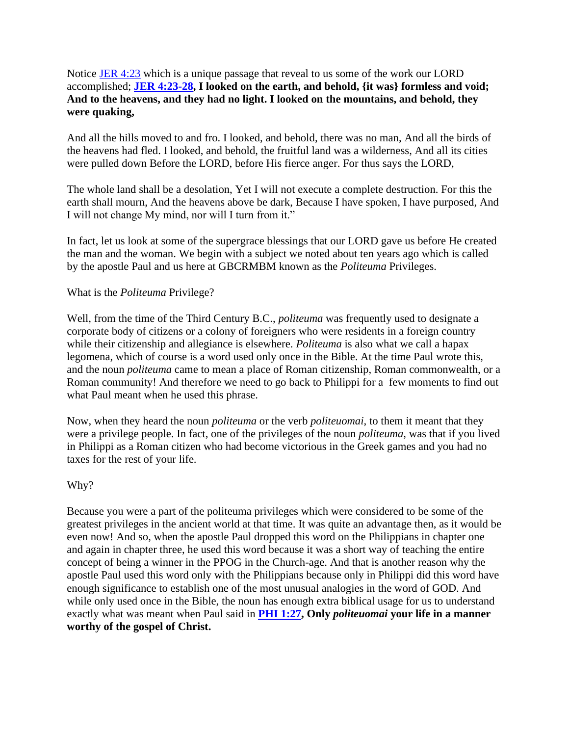## Notice [JER 4:23](https://www.bibleserver.com/text/NIV/Jeremiah4%3A23) which is a unique passage that reveal to us some of the work our LORD accomplished; **[JER 4:23-28,](https://www.bibleserver.com/text/NIV/Jeremiah4%3A23-28) I looked on the earth, and behold, {it was} formless and void; And to the heavens, and they had no light. I looked on the mountains, and behold, they were quaking,**

And all the hills moved to and fro. I looked, and behold, there was no man, And all the birds of the heavens had fled. I looked, and behold, the fruitful land was a wilderness, And all its cities were pulled down Before the LORD, before His fierce anger. For thus says the LORD,

The whole land shall be a desolation, Yet I will not execute a complete destruction. For this the earth shall mourn, And the heavens above be dark, Because I have spoken, I have purposed, And I will not change My mind, nor will I turn from it."

In fact, let us look at some of the supergrace blessings that our LORD gave us before He created the man and the woman. We begin with a subject we noted about ten years ago which is called by the apostle Paul and us here at GBCRMBM known as the *Politeuma* Privileges.

## What is the *Politeuma* Privilege?

Well, from the time of the Third Century B.C., *politeuma* was frequently used to designate a corporate body of citizens or a colony of foreigners who were residents in a foreign country while their citizenship and allegiance is elsewhere. *Politeuma* is also what we call a hapax legomena, which of course is a word used only once in the Bible. At the time Paul wrote this, and the noun *politeuma* came to mean a place of Roman citizenship, Roman commonwealth, or a Roman community! And therefore we need to go back to Philippi for a few moments to find out what Paul meant when he used this phrase.

Now, when they heard the noun *politeuma* or the verb *politeuomai*, to them it meant that they were a privilege people. In fact, one of the privileges of the noun *politeuma*, was that if you lived in Philippi as a Roman citizen who had become victorious in the Greek games and you had no taxes for the rest of your life.

## Why?

Because you were a part of the politeuma privileges which were considered to be some of the greatest privileges in the ancient world at that time. It was quite an advantage then, as it would be even now! And so, when the apostle Paul dropped this word on the Philippians in chapter one and again in chapter three, he used this word because it was a short way of teaching the entire concept of being a winner in the PPOG in the Church-age. And that is another reason why the apostle Paul used this word only with the Philippians because only in Philippi did this word have enough significance to establish one of the most unusual analogies in the word of GOD. And while only used once in the Bible, the noun has enough extra biblical usage for us to understand exactly what was meant when Paul said in **[PHI 1:27,](https://www.bibleserver.com/text/NIV/Philippians1%3A27) Only** *politeuomai* **your life in a manner worthy of the gospel of Christ.**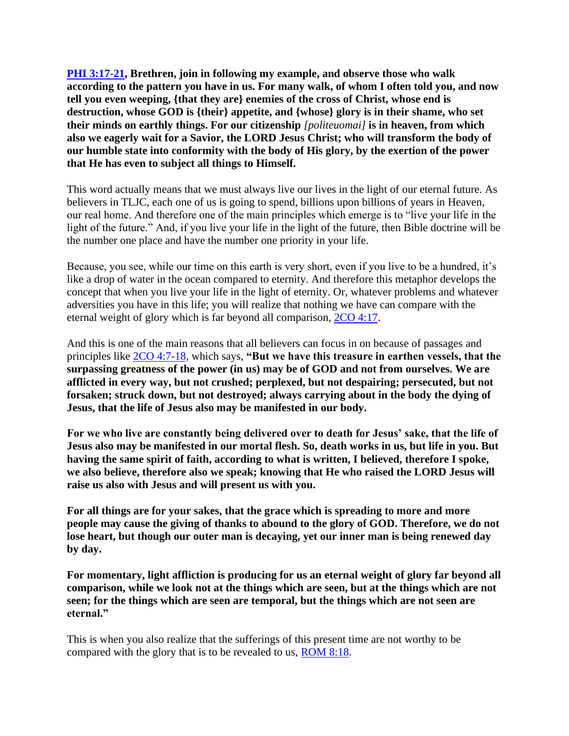**[PHI 3:17-21,](https://www.bibleserver.com/text/NIV/Philippians3%3A17-21) Brethren, join in following my example, and observe those who walk according to the pattern you have in us. For many walk, of whom I often told you, and now tell you even weeping, {that they are} enemies of the cross of Christ, whose end is destruction, whose GOD is {their} appetite, and {whose} glory is in their shame, who set their minds on earthly things. For our citizenship** *[politeuomai]* **is in heaven, from which also we eagerly wait for a Savior, the LORD Jesus Christ; who will transform the body of our humble state into conformity with the body of His glory, by the exertion of the power that He has even to subject all things to Himself.**

This word actually means that we must always live our lives in the light of our eternal future. As believers in TLJC, each one of us is going to spend, billions upon billions of years in Heaven, our real home. And therefore one of the main principles which emerge is to "live your life in the light of the future." And, if you live your life in the light of the future, then Bible doctrine will be the number one place and have the number one priority in your life.

Because, you see, while our time on this earth is very short, even if you live to be a hundred, it's like a drop of water in the ocean compared to eternity. And therefore this metaphor develops the concept that when you live your life in the light of eternity. Or, whatever problems and whatever adversities you have in this life; you will realize that nothing we have can compare with the eternal weight of glory which is far beyond all comparison, [2CO 4:17.](https://www.bibleserver.com/text/NIV/2Corinthians4%3A17)

And this is one of the main reasons that all believers can focus in on because of passages and principles like [2CO 4:7-18,](https://www.bibleserver.com/text/NIV/2Corinthians4%3A7-18) which says, **"But we have this treasure in earthen vessels, that the surpassing greatness of the power (in us) may be of GOD and not from ourselves. We are afflicted in every way, but not crushed; perplexed, but not despairing; persecuted, but not forsaken; struck down, but not destroyed; always carrying about in the body the dying of Jesus, that the life of Jesus also may be manifested in our body.** 

**For we who live are constantly being delivered over to death for Jesus' sake, that the life of Jesus also may be manifested in our mortal flesh. So, death works in us, but life in you. But having the same spirit of faith, according to what is written, I believed, therefore I spoke, we also believe, therefore also we speak; knowing that He who raised the LORD Jesus will raise us also with Jesus and will present us with you.** 

**For all things are for your sakes, that the grace which is spreading to more and more people may cause the giving of thanks to abound to the glory of GOD. Therefore, we do not lose heart, but though our outer man is decaying, yet our inner man is being renewed day by day.** 

**For momentary, light affliction is producing for us an eternal weight of glory far beyond all comparison, while we look not at the things which are seen, but at the things which are not seen; for the things which are seen are temporal, but the things which are not seen are eternal."**

This is when you also realize that the sufferings of this present time are not worthy to be compared with the glory that is to be revealed to us, [ROM 8:18.](https://www.bibleserver.com/text/NIV/Romans8%3A18)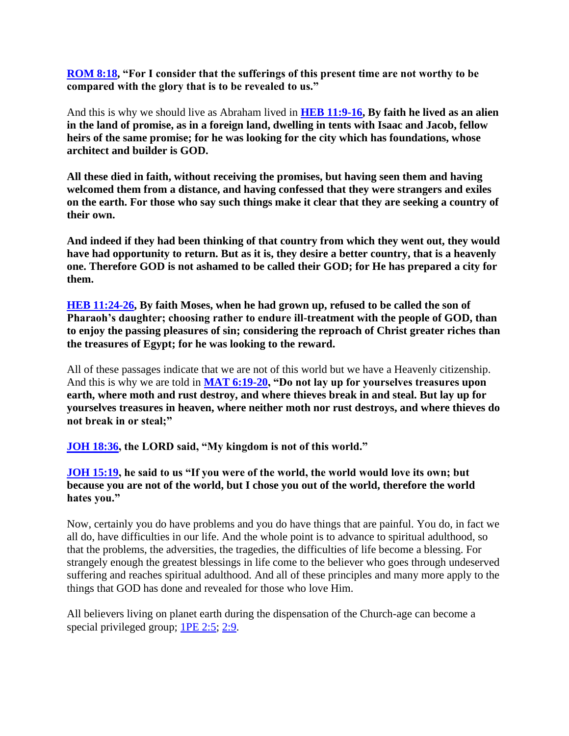**[ROM 8:18,](https://www.bibleserver.com/text/NIV/Romans8%3A18) "For I consider that the sufferings of this present time are not worthy to be compared with the glory that is to be revealed to us."**

And this is why we should live as Abraham lived in **[HEB 11:9-16,](https://www.bibleserver.com/text/NIV/Hebrews11%3A9-16) By faith he lived as an alien in the land of promise, as in a foreign land, dwelling in tents with Isaac and Jacob, fellow heirs of the same promise; for he was looking for the city which has foundations, whose architect and builder is GOD.** 

**All these died in faith, without receiving the promises, but having seen them and having welcomed them from a distance, and having confessed that they were strangers and exiles on the earth. For those who say such things make it clear that they are seeking a country of their own.** 

**And indeed if they had been thinking of that country from which they went out, they would have had opportunity to return. But as it is, they desire a better country, that is a heavenly one. Therefore GOD is not ashamed to be called their GOD; for He has prepared a city for them.** 

**[HEB 11:24-26,](https://www.bibleserver.com/text/NIV/Hebrews11%3A24-26) By faith Moses, when he had grown up, refused to be called the son of Pharaoh's daughter; choosing rather to endure ill-treatment with the people of GOD, than to enjoy the passing pleasures of sin; considering the reproach of Christ greater riches than the treasures of Egypt; for he was looking to the reward.**

All of these passages indicate that we are not of this world but we have a Heavenly citizenship. And this is why we are told in **[MAT 6:19-20,](https://www.bibleserver.com/text/NIV/Matthew6%3A19-20) "Do not lay up for yourselves treasures upon earth, where moth and rust destroy, and where thieves break in and steal. But lay up for yourselves treasures in heaven, where neither moth nor rust destroys, and where thieves do not break in or steal;"**

**[JOH 18:36,](https://www.bibleserver.com/text/NIV/John18%3A36) the LORD said, "My kingdom is not of this world."**

**[JOH 15:19,](https://www.bibleserver.com/text/NIV/John15%3A19) he said to us "If you were of the world, the world would love its own; but because you are not of the world, but I chose you out of the world, therefore the world hates you."**

Now, certainly you do have problems and you do have things that are painful. You do, in fact we all do, have difficulties in our life. And the whole point is to advance to spiritual adulthood, so that the problems, the adversities, the tragedies, the difficulties of life become a blessing. For strangely enough the greatest blessings in life come to the believer who goes through undeserved suffering and reaches spiritual adulthood. And all of these principles and many more apply to the things that GOD has done and revealed for those who love Him.

All believers living on planet earth during the dispensation of the Church-age can become a special privileged group; [1PE 2:5;](https://www.bibleserver.com/text/NIV/1Peter2%3A5) [2:9.](https://www.bibleserver.com/text/NIV/1Peter2%3A9)